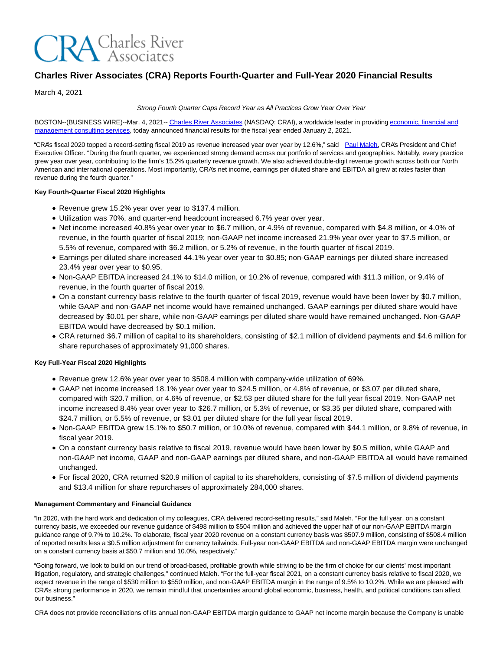# **CRA** Charles River

# **Charles River Associates (CRA) Reports Fourth-Quarter and Full-Year 2020 Financial Results**

March 4, 2021

#### Strong Fourth Quarter Caps Record Year as All Practices Grow Year Over Year

BOSTON--(BUSINESS WIRE)--Mar. 4, 2021-[- Charles River Associates \(](https://cts.businesswire.com/ct/CT?id=smartlink&url=https%3A%2F%2Fwww.crai.com%2F&esheet=52390518&newsitemid=20210304005270&lan=en-US&anchor=Charles+River+Associates&index=1&md5=56e51e4d1bb2f92070c83966a0ee7c62)NASDAQ: CRAI), a worldwide leader in providing [economic, financial and](https://cts.businesswire.com/ct/CT?id=smartlink&url=https%3A%2F%2Fwww.crai.com%2F&esheet=52390518&newsitemid=20210304005270&lan=en-US&anchor=economic%2C+financial+and+management+consulting+services&index=2&md5=123a14b3ae5e6bd3ffa7c39f9a5ad901) management consulting services, today announced financial results for the fiscal year ended January 2, 2021.

"CRA's fiscal 2020 topped a record-setting fiscal 2019 as revenue increased year over year by 12.6%," said [Paul Maleh,](https://cts.businesswire.com/ct/CT?id=smartlink&url=https%3A%2F%2Fwww.crai.com%2Four-people%2Fpaul-maleh%2F&esheet=52390518&newsitemid=20210304005270&lan=en-US&anchor=Paul+Maleh&index=3&md5=b5e80c528fbd825c94a926c9718f3d79) CRA's President and Chief Executive Officer. "During the fourth quarter, we experienced strong demand across our portfolio of services and geographies. Notably, every practice grew year over year, contributing to the firm's 15.2% quarterly revenue growth. We also achieved double-digit revenue growth across both our North American and international operations. Most importantly, CRA's net income, earnings per diluted share and EBITDA all grew at rates faster than revenue during the fourth quarter."

#### **Key Fourth-Quarter Fiscal 2020 Highlights**

- Revenue grew 15.2% year over year to \$137.4 million.
- Utilization was 70%, and quarter-end headcount increased 6.7% year over year.
- Net income increased 40.8% year over year to \$6.7 million, or 4.9% of revenue, compared with \$4.8 million, or 4.0% of revenue, in the fourth quarter of fiscal 2019; non-GAAP net income increased 21.9% year over year to \$7.5 million, or 5.5% of revenue, compared with \$6.2 million, or 5.2% of revenue, in the fourth quarter of fiscal 2019.
- Earnings per diluted share increased 44.1% year over year to \$0.85; non-GAAP earnings per diluted share increased 23.4% year over year to \$0.95.
- Non-GAAP EBITDA increased 24.1% to \$14.0 million, or 10.2% of revenue, compared with \$11.3 million, or 9.4% of revenue, in the fourth quarter of fiscal 2019.
- On a constant currency basis relative to the fourth quarter of fiscal 2019, revenue would have been lower by \$0.7 million, while GAAP and non-GAAP net income would have remained unchanged. GAAP earnings per diluted share would have decreased by \$0.01 per share, while non-GAAP earnings per diluted share would have remained unchanged. Non-GAAP EBITDA would have decreased by \$0.1 million.
- CRA returned \$6.7 million of capital to its shareholders, consisting of \$2.1 million of dividend payments and \$4.6 million for share repurchases of approximately 91,000 shares.

## **Key Full-Year Fiscal 2020 Highlights**

- Revenue grew 12.6% year over year to \$508.4 million with company-wide utilization of 69%.
- GAAP net income increased 18.1% year over year to \$24.5 million, or 4.8% of revenue, or \$3.07 per diluted share, compared with \$20.7 million, or 4.6% of revenue, or \$2.53 per diluted share for the full year fiscal 2019. Non-GAAP net income increased 8.4% year over year to \$26.7 million, or 5.3% of revenue, or \$3.35 per diluted share, compared with \$24.7 million, or 5.5% of revenue, or \$3.01 per diluted share for the full year fiscal 2019.
- Non-GAAP EBITDA grew 15.1% to \$50.7 million, or 10.0% of revenue, compared with \$44.1 million, or 9.8% of revenue, in fiscal year 2019.
- On a constant currency basis relative to fiscal 2019, revenue would have been lower by \$0.5 million, while GAAP and non-GAAP net income, GAAP and non-GAAP earnings per diluted share, and non-GAAP EBITDA all would have remained unchanged.
- For fiscal 2020, CRA returned \$20.9 million of capital to its shareholders, consisting of \$7.5 million of dividend payments and \$13.4 million for share repurchases of approximately 284,000 shares.

#### **Management Commentary and Financial Guidance**

"In 2020, with the hard work and dedication of my colleagues, CRA delivered record-setting results," said Maleh. "For the full year, on a constant currency basis, we exceeded our revenue guidance of \$498 million to \$504 million and achieved the upper half of our non-GAAP EBITDA margin guidance range of 9.7% to 10.2%. To elaborate, fiscal year 2020 revenue on a constant currency basis was \$507.9 million, consisting of \$508.4 million of reported results less a \$0.5 million adjustment for currency tailwinds. Full-year non-GAAP EBITDA and non-GAAP EBITDA margin were unchanged on a constant currency basis at \$50.7 million and 10.0%, respectively."

"Going forward, we look to build on our trend of broad-based, profitable growth while striving to be the firm of choice for our clients' most important litigation, regulatory, and strategic challenges," continued Maleh. "For the full-year fiscal 2021, on a constant currency basis relative to fiscal 2020, we expect revenue in the range of \$530 million to \$550 million, and non-GAAP EBITDA margin in the range of 9.5% to 10.2%. While we are pleased with CRA's strong performance in 2020, we remain mindful that uncertainties around global economic, business, health, and political conditions can affect our business."

CRA does not provide reconciliations of its annual non-GAAP EBITDA margin guidance to GAAP net income margin because the Company is unable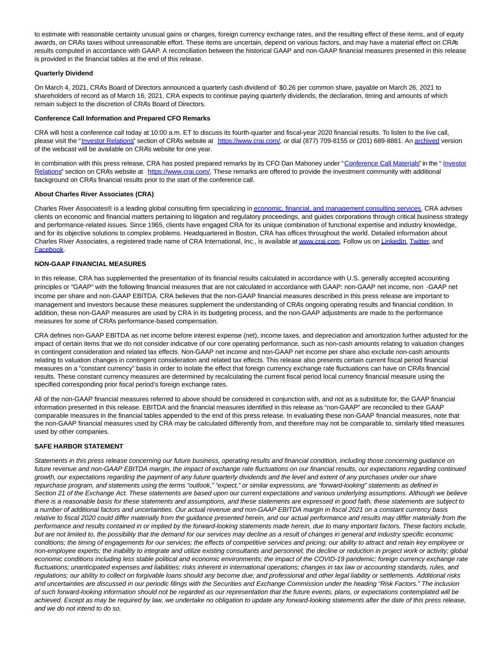to estimate with reasonable certainty unusual gains or charges, foreign currency exchange rates, and the resulting effect of these items, and of equity awards, on CRA's taxes without unreasonable effort. These items are uncertain, depend on various factors, and may have a material effect on CRA's results computed in accordance with GAAP. A reconciliation between the historical GAAP and non-GAAP financial measures presented in this release is provided in the financial tables at the end of this release.

#### **Quarterly Dividend**

On March 4, 2021, CRA's Board of Directors announced a quarterly cash dividend of \$0.26 per common share, payable on March 26, 2021 to shareholders of record as of March 16, 2021. CRA expects to continue paying quarterly dividends, the declaration, timing and amounts of which remain subject to the discretion of CRA's Board of Directors.

#### **Conference Call Information and Prepared CFO Remarks**

CRA will host a conference call today at 10:00 a.m. ET to discuss its fourth-quarter and fiscal-year 2020 financial results. To listen to the live call, please visit the ["Investor Relations"](https://cts.businesswire.com/ct/CT?id=smartlink&url=https%3A%2F%2Fcrainternationalinc.gcs-web.com%2Finvestor-overview&esheet=52390518&newsitemid=20210304005270&lan=en-US&anchor=Investor+Relations&index=4&md5=4bae988c808232766eef591b44445996) section of CRA's website at [https://www.crai.com/,](https://cts.businesswire.com/ct/CT?id=smartlink&url=https%3A%2F%2Fwww.crai.com%2F&esheet=52390518&newsitemid=20210304005270&lan=en-US&anchor=https%3A%2F%2Fwww.crai.com%2F&index=5&md5=2b7355e6f5b1970cbc148be00f93b0c0) or dial (877) 709-8155 or (201) 689-8881. An [archived v](https://cts.businesswire.com/ct/CT?id=smartlink&url=https%3A%2F%2Fcrainternationalinc.gcs-web.com%2Fevents-and-presentations%2Fpast-event&esheet=52390518&newsitemid=20210304005270&lan=en-US&anchor=archived&index=6&md5=8ac5c0548ba48e9d2b7ef76a9705e68f)ersion of the webcast will be available on CRA's website for one year.

In combination with this press release, CRA has posted prepared remarks by its CFO Dan Mahoney under ["Conference Call Materials"](https://cts.businesswire.com/ct/CT?id=smartlink&url=https%3A%2F%2Fcrainternationalinc.gcs-web.com%2Ffinancial-information%2Fquarterly-results&esheet=52390518&newsitemid=20210304005270&lan=en-US&anchor=Conference+Call+Materials&index=7&md5=e543d00a1515b949a6c3479cfe86e653) in the " [Investor](https://cts.businesswire.com/ct/CT?id=smartlink&url=https%3A%2F%2Fcrainternationalinc.gcs-web.com%2Finvestor-overview&esheet=52390518&newsitemid=20210304005270&lan=en-US&anchor=Investor+Relations&index=8&md5=a0eab38f368e6b7af14b79bfd2307277) Relations" section on CRA's website at [https://www.crai.com/.](https://cts.businesswire.com/ct/CT?id=smartlink&url=https%3A%2F%2Fwww.crai.com%2F&esheet=52390518&newsitemid=20210304005270&lan=en-US&anchor=https%3A%2F%2Fwww.crai.com%2F&index=9&md5=c6bca05bfbcdfe7b9d8dee9a6bc3b5bf) These remarks are offered to provide the investment community with additional background on CRA's financial results prior to the start of the conference call.

#### **About Charles River Associates (CRA)**

Charles River Associates® is a leading global consulting firm specializing i[n economic, financial, and management consulting services.](https://cts.businesswire.com/ct/CT?id=smartlink&url=https%3A%2F%2Fwww.crai.com%2F&esheet=52390518&newsitemid=20210304005270&lan=en-US&anchor=economic%2C+financial%2C+and+management+consulting+services&index=10&md5=eda04ea21985401580a1fbb8a4e8023d) CRA advises clients on economic and financial matters pertaining to litigation and regulatory proceedings, and guides corporations through critical business strategy and performance-related issues. Since 1965, clients have engaged CRA for its unique combination of functional expertise and industry knowledge, and for its objective solutions to complex problems. Headquartered in Boston, CRA has offices throughout the world. Detailed information about Charles River Associates, a registered trade name of CRA International, Inc., is available a[t www.crai.com.](https://cts.businesswire.com/ct/CT?id=smartlink&url=http%3A%2F%2Fwww.crai.com&esheet=52390518&newsitemid=20210304005270&lan=en-US&anchor=www.crai.com&index=11&md5=840153501f2804c2687bbe8c87eedb53) Follow us o[n LinkedIn,](https://cts.businesswire.com/ct/CT?id=smartlink&url=https%3A%2F%2Fwww.linkedin.com%2Fcompany%2Fcharles-river-associates%2F&esheet=52390518&newsitemid=20210304005270&lan=en-US&anchor=LinkedIn&index=12&md5=303aec8978e21e52b1a1e0eadca23276) [Twitter,](https://cts.businesswire.com/ct/CT?id=smartlink&url=https%3A%2F%2Ftwitter.com%2FNews_CRA&esheet=52390518&newsitemid=20210304005270&lan=en-US&anchor=Twitter&index=13&md5=3ed2eaccd1a9a29adde65fe18bf1b1b6) and [Facebook.](https://cts.businesswire.com/ct/CT?id=smartlink&url=https%3A%2F%2Fwww.facebook.com%2FCharlesRiverAssociates&esheet=52390518&newsitemid=20210304005270&lan=en-US&anchor=Facebook&index=14&md5=271ac4c8ccd21044994507bd6f7d433d)

#### **NON-GAAP FINANCIAL MEASURES**

In this release, CRA has supplemented the presentation of its financial results calculated in accordance with U.S. generally accepted accounting principles or "GAAP" with the following financial measures that are not calculated in accordance with GAAP: non-GAAP net income, non ‑GAAP net income per share and non‑GAAP EBITDA. CRA believes that the non-GAAP financial measures described in this press release are important to management and investors because these measures supplement the understanding of CRA's ongoing operating results and financial condition. In addition, these non-GAAP measures are used by CRA in its budgeting process, and the non-GAAP adjustments are made to the performance measures for some of CRA's performance-based compensation.

CRA defines non-GAAP EBITDA as net income before interest expense (net), income taxes, and depreciation and amortization further adjusted for the impact of certain items that we do not consider indicative of our core operating performance, such as non-cash amounts relating to valuation changes in contingent consideration and related tax effects. Non-GAAP net income and non-GAAP net income per share also exclude non-cash amounts relating to valuation changes in contingent consideration and related tax effects. This release also presents certain current fiscal period financial measures on a "constant currency" basis in order to isolate the effect that foreign currency exchange rate fluctuations can have on CRA's financial results. These constant currency measures are determined by recalculating the current fiscal period local currency financial measure using the specified corresponding prior fiscal period's foreign exchange rates.

All of the non-GAAP financial measures referred to above should be considered in conjunction with, and not as a substitute for, the GAAP financial information presented in this release. EBITDA and the financial measures identified in this release as "non-GAAP" are reconciled to their GAAP comparable measures in the financial tables appended to the end of this press release. In evaluating these non-GAAP financial measures, note that the non-GAAP financial measures used by CRA may be calculated differently from, and therefore may not be comparable to, similarly titled measures used by other companies.

## **SAFE HARBOR STATEMENT**

Statements in this press release concerning our future business, operating results and financial condition, including those concerning guidance on future revenue and non-GAAP EBITDA margin, the impact of exchange rate fluctuations on our financial results, our expectations regarding continued growth, our expectations regarding the payment of any future quarterly dividends and the level and extent of any purchases under our share repurchase program, and statements using the terms "outlook," "expect," or similar expressions, are "forward-looking" statements as defined in Section 21 of the Exchange Act. These statements are based upon our current expectations and various underlying assumptions. Although we believe there is a reasonable basis for these statements and assumptions, and these statements are expressed in good faith, these statements are subject to a number of additional factors and uncertainties. Our actual revenue and non-GAAP EBITDA margin in fiscal 2021 on a constant currency basis relative to fiscal 2020 could differ materially from the quidance presented herein, and our actual performance and results may differ materially from the performance and results contained in or implied by the forward-looking statements made herein, due to many important factors. These factors include, but are not limited to, the possibility that the demand for our services may decline as a result of changes in general and industry specific economic conditions; the timing of engagements for our services; the effects of competitive services and pricing; our ability to attract and retain key employee or non-employee experts; the inability to integrate and utilize existing consultants and personnel; the decline or reduction in project work or activity; global economic conditions including less stable political and economic environments; the impact of the COVID-19 pandemic; foreign currency exchange rate fluctuations; unanticipated expenses and liabilities; risks inherent in international operations; changes in tax law or accounting standards, rules, and regulations; our ability to collect on forgivable loans should any become due; and professional and other legal liability or settlements. Additional risks and uncertainties are discussed in our periodic filings with the Securities and Exchange Commission under the heading "Risk Factors." The inclusion of such forward-looking information should not be regarded as our representation that the future events, plans, or expectations contemplated will be achieved. Except as may be required by law, we undertake no obligation to update any forward-looking statements after the date of this press release, and we do not intend to do so.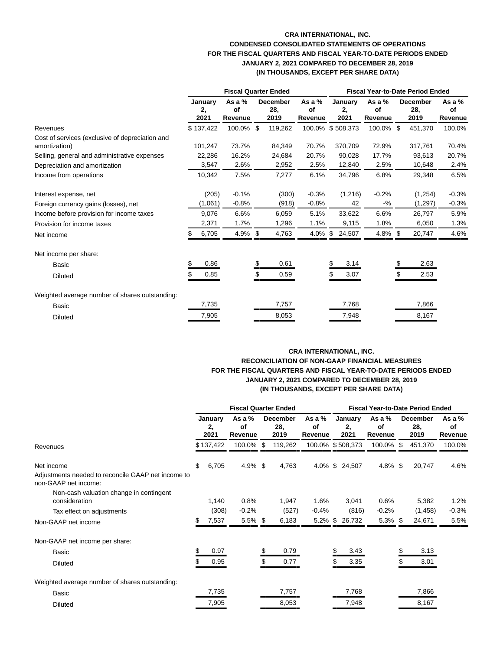# **CRA INTERNATIONAL, INC. CONDENSED CONSOLIDATED STATEMENTS OF OPERATIONS FOR THE FISCAL QUARTERS AND FISCAL YEAR-TO-DATE PERIODS ENDED JANUARY 2, 2021 COMPARED TO DECEMBER 28, 2019 (IN THOUSANDS, EXCEPT PER SHARE DATA)**

|                                                                  | <b>Fiscal Quarter Ended</b> |                           |    |                                |                                  |                       | <b>Fiscal Year-to-Date Period Ended</b> |  |                                |                           |  |  |  |
|------------------------------------------------------------------|-----------------------------|---------------------------|----|--------------------------------|----------------------------------|-----------------------|-----------------------------------------|--|--------------------------------|---------------------------|--|--|--|
|                                                                  | January<br>2,<br>2021       | As a $%$<br>οf<br>Revenue |    | <b>December</b><br>28,<br>2019 | As a $%$<br>Οf<br><b>Revenue</b> | January<br>2,<br>2021 | As a $%$<br>οf<br>Revenue               |  | <b>December</b><br>28,<br>2019 | As a $%$<br>of<br>Revenue |  |  |  |
| Revenues                                                         | \$137,422                   | 100.0% \$                 |    | 119,262                        |                                  | 100.0% \$508,373      | 100.0% \$                               |  | 451,370                        | 100.0%                    |  |  |  |
| Cost of services (exclusive of depreciation and<br>amortization) | 101,247                     | 73.7%                     |    | 84,349                         | 70.7%                            | 370,709               | 72.9%                                   |  | 317,761                        | 70.4%                     |  |  |  |
| Selling, general and administrative expenses                     | 22,286                      | 16.2%                     |    | 24,684                         | 20.7%                            | 90.028                | 17.7%                                   |  | 93,613                         | 20.7%                     |  |  |  |
| Depreciation and amortization                                    | 3,547                       | 2.6%                      |    | 2,952                          | 2.5%                             | 12,840                | 2.5%                                    |  | 10,648                         | 2.4%                      |  |  |  |
| Income from operations                                           | 10,342                      | 7.5%                      |    | 7,277                          | 6.1%                             | 34,796                | 6.8%                                    |  | 29,348                         | 6.5%                      |  |  |  |
| Interest expense, net                                            | (205)                       | $-0.1%$                   |    | (300)                          | $-0.3%$                          | (1,216)               | $-0.2%$                                 |  | (1,254)                        | $-0.3%$                   |  |  |  |
| Foreign currency gains (losses), net                             | (1,061)                     | $-0.8%$                   |    | (918)                          | $-0.8%$                          | 42                    | $-$ %                                   |  | (1, 297)                       | $-0.3%$                   |  |  |  |
| Income before provision for income taxes                         | 9,076                       | 6.6%                      |    | 6,059                          | 5.1%                             | 33,622                | 6.6%                                    |  | 26,797                         | 5.9%                      |  |  |  |
| Provision for income taxes                                       | 2,371                       | 1.7%                      |    | 1,296                          | 1.1%                             | 9,115                 | 1.8%                                    |  | 6,050                          | 1.3%                      |  |  |  |
| S<br>Net income                                                  | 6,705                       | 4.9% \$                   |    | 4,763                          | $4.0\%$ \$                       | 24,507                | 4.8% \$                                 |  | 20,747                         | 4.6%                      |  |  |  |
| Net income per share:                                            |                             |                           |    |                                |                                  |                       |                                         |  |                                |                           |  |  |  |
| \$<br>Basic                                                      | 0.86                        |                           | \$ | 0.61                           |                                  | 3.14                  |                                         |  | 2.63                           |                           |  |  |  |
| \$<br><b>Diluted</b>                                             | 0.85                        |                           | S  | 0.59                           |                                  | 3.07                  |                                         |  | 2.53                           |                           |  |  |  |
| Weighted average number of shares outstanding:                   |                             |                           |    |                                |                                  |                       |                                         |  |                                |                           |  |  |  |
| Basic                                                            | 7,735                       |                           |    | 7,757                          |                                  | 7,768                 |                                         |  | 7,866                          |                           |  |  |  |
| <b>Diluted</b>                                                   | 7,905                       |                           |    | 8,053                          |                                  | 7,948                 |                                         |  | 8,167                          |                           |  |  |  |

# **CRA INTERNATIONAL, INC. RECONCILIATION OF NON-GAAP FINANCIAL MEASURES FOR THE FISCAL QUARTERS AND FISCAL YEAR-TO-DATE PERIODS ENDED JANUARY 2, 2021 COMPARED TO DECEMBER 28, 2019 (IN THOUSANDS, EXCEPT PER SHARE DATA)**

|                                                                            | <b>Fiscal Quarter Ended</b> |                       |                           |   |                                |                           | <b>Fiscal Year-to-Date Period Ended</b> |                       |                           |  |                                |                           |  |
|----------------------------------------------------------------------------|-----------------------------|-----------------------|---------------------------|---|--------------------------------|---------------------------|-----------------------------------------|-----------------------|---------------------------|--|--------------------------------|---------------------------|--|
|                                                                            |                             | January<br>2,<br>2021 | As a $%$<br>οf<br>Revenue |   | <b>December</b><br>28,<br>2019 | As a $%$<br>of<br>Revenue |                                         | January<br>2,<br>2021 | As a $%$<br>οf<br>Revenue |  | <b>December</b><br>28,<br>2019 | As a $%$<br>οf<br>Revenue |  |
| Revenues                                                                   |                             | \$137,422             | 100.0% \$                 |   | 119,262                        | 100.0% \$508,373          |                                         |                       | 100.0% \$                 |  | 451,370                        | 100.0%                    |  |
| Net income                                                                 | \$                          | 6,705                 | $4.9\%$ \$                |   | 4,763                          | $4.0\%$ \$                |                                         | 24,507                | $4.8\%$ \$                |  | 20,747                         | 4.6%                      |  |
| Adjustments needed to reconcile GAAP net income to<br>non-GAAP net income: |                             |                       |                           |   |                                |                           |                                         |                       |                           |  |                                |                           |  |
| Non-cash valuation change in contingent<br>consideration                   |                             | 1,140                 | 0.8%                      |   | 1,947                          | 1.6%                      |                                         | 3,041                 | 0.6%                      |  | 5,382                          | 1.2%                      |  |
| Tax effect on adjustments                                                  |                             | (308)                 | $-0.2%$                   |   | (527)                          | $-0.4%$                   |                                         | (816)                 | $-0.2%$                   |  | (1, 458)                       | $-0.3%$                   |  |
| Non-GAAP net income                                                        |                             | 7,537                 | $5.5\%$ \$                |   | 6,183                          |                           |                                         | 5.2% \$ 26,732        | $5.3\%$ \$                |  | 24,671                         | 5.5%                      |  |
| Non-GAAP net income per share:                                             |                             |                       |                           |   |                                |                           |                                         |                       |                           |  |                                |                           |  |
| Basic                                                                      |                             | 0.97                  |                           |   | 0.79                           |                           |                                         | 3.43                  |                           |  | 3.13                           |                           |  |
| <b>Diluted</b>                                                             |                             | 0.95                  |                           | S | 0.77                           |                           |                                         | 3.35                  |                           |  | 3.01                           |                           |  |
| Weighted average number of shares outstanding:                             |                             |                       |                           |   |                                |                           |                                         |                       |                           |  |                                |                           |  |
| Basic                                                                      |                             | 7,735                 |                           |   | 7,757                          |                           |                                         | 7,768                 |                           |  | 7,866                          |                           |  |
| <b>Diluted</b>                                                             |                             | 7,905                 |                           |   | 8,053                          |                           |                                         | 7,948                 |                           |  | 8,167                          |                           |  |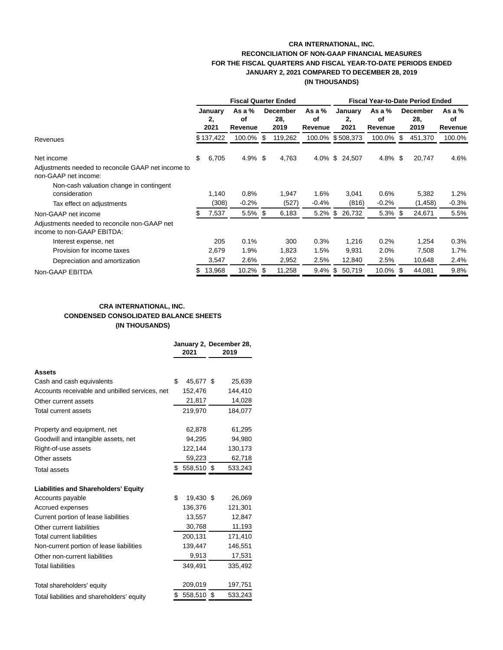# **CRA INTERNATIONAL, INC. RECONCILIATION OF NON-GAAP FINANCIAL MEASURES FOR THE FISCAL QUARTERS AND FISCAL YEAR-TO-DATE PERIODS ENDED JANUARY 2, 2021 COMPARED TO DECEMBER 28, 2019 (IN THOUSANDS)**

|                                                                            | <b>Fiscal Quarter Ended</b> |                       |                           |                                |         | <b>Fiscal Year-to-Date Period Ended</b> |                       |                           |                                |         |                           |
|----------------------------------------------------------------------------|-----------------------------|-----------------------|---------------------------|--------------------------------|---------|-----------------------------------------|-----------------------|---------------------------|--------------------------------|---------|---------------------------|
|                                                                            |                             | January<br>2,<br>2021 | As a $%$<br>οf<br>Revenue | <b>December</b><br>28.<br>2019 |         | As a $%$<br>οf<br>Revenue               | January<br>2,<br>2021 | As a $%$<br>οf<br>Revenue | <b>December</b><br>28,<br>2019 |         | As a $%$<br>οf<br>Revenue |
| Revenues                                                                   |                             | \$137,422             | 100.0% \$                 |                                | 119,262 |                                         | 100.0% \$508,373      | 100.0% \$                 |                                | 451,370 | 100.0%                    |
| Net income                                                                 | \$                          | 6,705                 | $4.9\%$ \$                |                                | 4,763   |                                         | 4.0% \$ 24,507        | $4.8\%$ \$                |                                | 20,747  | 4.6%                      |
| Adjustments needed to reconcile GAAP net income to<br>non-GAAP net income: |                             |                       |                           |                                |         |                                         |                       |                           |                                |         |                           |
| Non-cash valuation change in contingent<br>consideration                   |                             | 1.140                 | 0.8%                      |                                | 1,947   | 1.6%                                    | 3,041                 | 0.6%                      |                                | 5,382   | 1.2%                      |
| Tax effect on adjustments                                                  |                             | (308)                 | $-0.2%$                   |                                | (527)   | $-0.4%$                                 | (816)                 | $-0.2%$                   |                                | (1,458) | $-0.3%$                   |
| Non-GAAP net income                                                        | \$.                         | 7,537                 | $5.5\%$ \$                |                                | 6,183   | $5.2\%$ \$                              | 26,732                | $5.3\%$ \$                |                                | 24,671  | 5.5%                      |
| Adjustments needed to reconcile non-GAAP net<br>income to non-GAAP EBITDA: |                             |                       |                           |                                |         |                                         |                       |                           |                                |         |                           |
| Interest expense, net                                                      |                             | 205                   | 0.1%                      |                                | 300     | 0.3%                                    | 1,216                 | 0.2%                      |                                | 1,254   | 0.3%                      |
| Provision for income taxes                                                 |                             | 2,679                 | 1.9%                      |                                | 1,823   | 1.5%                                    | 9,931                 | 2.0%                      |                                | 7,508   | 1.7%                      |
| Depreciation and amortization                                              |                             | 3,547                 | 2.6%                      |                                | 2,952   | 2.5%                                    | 12,840                | 2.5%                      |                                | 10,648  | 2.4%                      |
| Non-GAAP EBITDA                                                            |                             | 13,968                | $10.2\%$ \$               |                                | 11,258  | $9.4\%$ \$                              | 50,719                | 10.0%                     | -\$                            | 44,081  | 9.8%                      |

# **CRA INTERNATIONAL, INC. CONDENSED CONSOLIDATED BALANCE SHEETS (IN THOUSANDS)**

|                                                | January 2, December 28,<br>2021 |  | 2019    |
|------------------------------------------------|---------------------------------|--|---------|
| <b>Assets</b>                                  |                                 |  |         |
| Cash and cash equivalents                      | \$<br>45,677 \$                 |  | 25,639  |
| Accounts receivable and unbilled services, net | 152,476                         |  | 144,410 |
| Other current assets                           | 21,817                          |  | 14,028  |
| <b>Total current assets</b>                    | 219,970                         |  | 184,077 |
| Property and equipment, net                    | 62,878                          |  | 61,295  |
| Goodwill and intangible assets, net            | 94,295                          |  | 94,980  |
| Right-of-use assets                            | 122,144                         |  | 130,173 |
| Other assets                                   | 59,223                          |  | 62,718  |
| <b>Total assets</b>                            | \$<br>558,510 \$                |  | 533,243 |
| <b>Liabilities and Shareholders' Equity</b>    |                                 |  |         |
| Accounts payable                               | \$<br>19,430 \$                 |  | 26,069  |
| Accrued expenses                               | 136,376                         |  | 121,301 |
| Current portion of lease liabilities           | 13,557                          |  | 12,847  |
| Other current liabilities                      | 30,768                          |  | 11,193  |
| <b>Total current liabilities</b>               | 200,131                         |  | 171,410 |
| Non-current portion of lease liabilities       | 139,447                         |  | 146,551 |
| Other non-current liabilities                  | 9,913                           |  | 17,531  |
| <b>Total liabilities</b>                       | 349,491                         |  | 335,492 |
| Total shareholders' equity                     | 209,019                         |  | 197,751 |
| Total liabilities and shareholders' equity     | \$<br>558,510 \$                |  | 533,243 |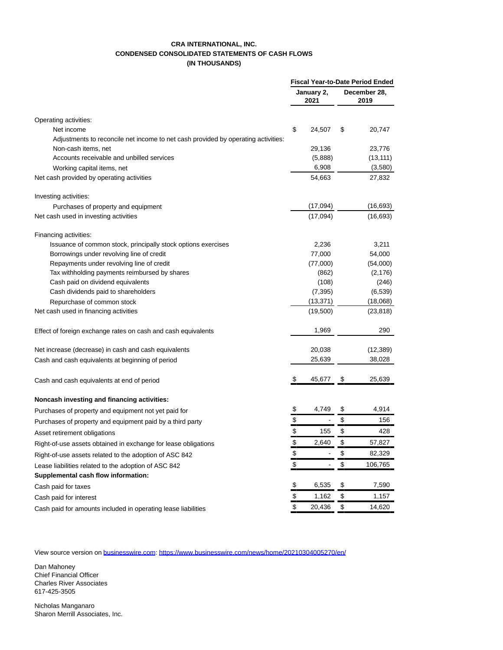# **CRA INTERNATIONAL, INC. CONDENSED CONSOLIDATED STATEMENTS OF CASH FLOWS (IN THOUSANDS)**

|                                                                                   | <b>Fiscal Year-to-Date Period Ended</b> |                    |                      |           |  |
|-----------------------------------------------------------------------------------|-----------------------------------------|--------------------|----------------------|-----------|--|
|                                                                                   |                                         | January 2,<br>2021 | December 28,<br>2019 |           |  |
| Operating activities:                                                             |                                         |                    |                      |           |  |
| Net income                                                                        | \$                                      | 24,507             | \$                   | 20,747    |  |
| Adjustments to reconcile net income to net cash provided by operating activities: |                                         |                    |                      |           |  |
| Non-cash items, net                                                               |                                         | 29,136             |                      | 23,776    |  |
| Accounts receivable and unbilled services                                         |                                         | (5,888)            |                      | (13, 111) |  |
| Working capital items, net                                                        |                                         | 6,908              |                      | (3,580)   |  |
| Net cash provided by operating activities                                         |                                         | 54,663             |                      | 27,832    |  |
| Investing activities:                                                             |                                         |                    |                      |           |  |
| Purchases of property and equipment                                               |                                         | (17,094)           |                      | (16, 693) |  |
| Net cash used in investing activities                                             |                                         | (17,094)           |                      | (16, 693) |  |
| Financing activities:                                                             |                                         |                    |                      |           |  |
| Issuance of common stock, principally stock options exercises                     |                                         | 2,236              |                      | 3,211     |  |
| Borrowings under revolving line of credit                                         |                                         | 77,000             |                      | 54,000    |  |
| Repayments under revolving line of credit                                         |                                         | (77,000)           |                      | (54,000)  |  |
| Tax withholding payments reimbursed by shares                                     |                                         | (862)              |                      | (2, 176)  |  |
| Cash paid on dividend equivalents                                                 |                                         | (108)              |                      | (246)     |  |
| Cash dividends paid to shareholders                                               |                                         | (7, 395)           |                      | (6, 539)  |  |
| Repurchase of common stock                                                        |                                         | (13, 371)          |                      | (18,068)  |  |
| Net cash used in financing activities                                             |                                         | (19,500)           |                      | (23, 818) |  |
| Effect of foreign exchange rates on cash and cash equivalents                     |                                         | 1,969              |                      | 290       |  |
| Net increase (decrease) in cash and cash equivalents                              |                                         | 20,038             |                      | (12, 389) |  |
| Cash and cash equivalents at beginning of period                                  |                                         | 25,639             |                      | 38,028    |  |
| Cash and cash equivalents at end of period                                        | \$                                      | 45,677             | \$                   | 25,639    |  |
| Noncash investing and financing activities:                                       |                                         |                    |                      |           |  |
| Purchases of property and equipment not yet paid for                              | \$                                      | 4,749              | \$                   | 4,914     |  |
| Purchases of property and equipment paid by a third party                         | \$                                      |                    | \$                   | 156       |  |
| Asset retirement obligations                                                      | \$                                      | 155                | \$                   | 428       |  |
| Right-of-use assets obtained in exchange for lease obligations                    | \$                                      | 2,640              | \$                   | 57,827    |  |
| Right-of-use assets related to the adoption of ASC 842                            | $\frac{1}{2}$                           |                    | $\boldsymbol{\$}$    | 82,329    |  |
| Lease liabilities related to the adoption of ASC 842                              | \$                                      |                    | \$                   | 106,765   |  |
| Supplemental cash flow information:                                               |                                         |                    |                      |           |  |
| Cash paid for taxes                                                               | \$                                      | 6,535              | $\frac{1}{2}$        | 7,590     |  |
| Cash paid for interest                                                            | \$                                      | 1,162              | \$                   | 1,157     |  |
| Cash paid for amounts included in operating lease liabilities                     | \$                                      | 20,436             | \$                   | 14,620    |  |

View source version on [businesswire.com:](http://businesswire.com/)<https://www.businesswire.com/news/home/20210304005270/en/>

Dan Mahoney Chief Financial Officer Charles River Associates 617-425-3505

Nicholas Manganaro Sharon Merrill Associates, Inc.